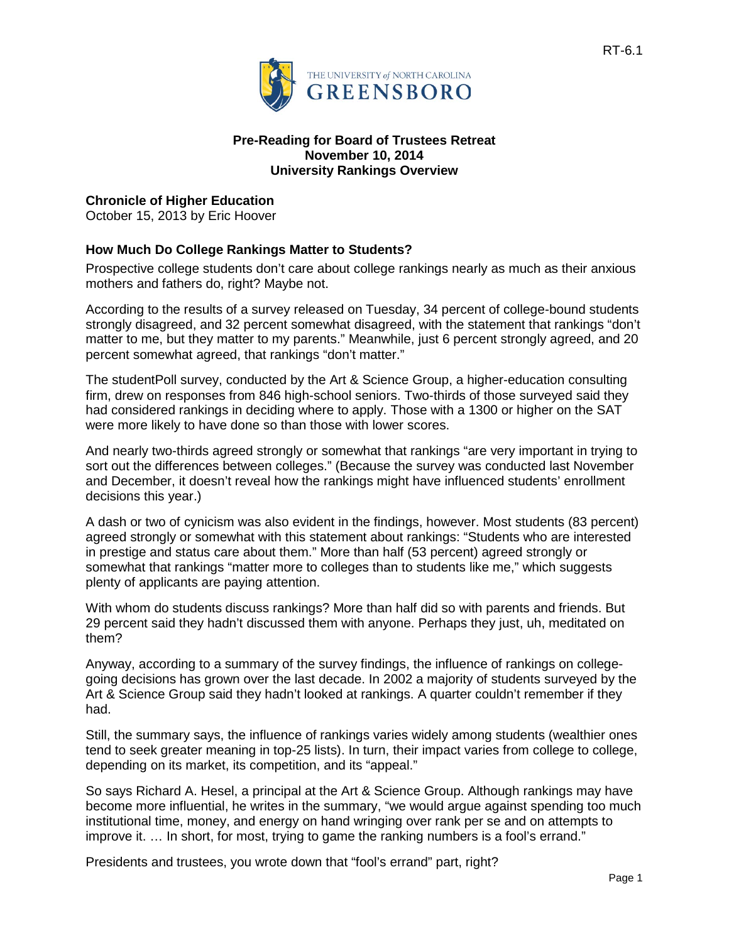

#### **Pre-Reading for Board of Trustees Retreat November 10, 2014 University Rankings Overview**

### **Chronicle of Higher Education**

October 15, 2013 by [Eric Hoover](http://chronicle.com/blogs/headcount/author/ehoover)

### **How Much Do College Rankings Matter to Students?**

Prospective college students don't care about college rankings nearly as much as their anxious mothers and fathers do, right? Maybe not.

According to the results of a [survey](http://www.artsci.com/studentpoll/october/index.aspx) released on Tuesday, 34 percent of college-bound students strongly disagreed, and 32 percent somewhat disagreed, with the statement that rankings "don't matter to me, but they matter to my parents." Meanwhile, just 6 percent strongly agreed, and 20 percent somewhat agreed, that rankings "don't matter."

The studentPoll survey, conducted by the Art & Science Group, a higher-education consulting firm, drew on responses from 846 high-school seniors. Two-thirds of those surveyed said they had considered rankings in deciding where to apply. Those with a 1300 or higher on the SAT were more likely to have done so than those with lower scores.

And nearly two-thirds agreed strongly or somewhat that rankings "are very important in trying to sort out the differences between colleges." (Because the survey was conducted last November and December, it doesn't reveal how the rankings might have influenced students' enrollment decisions this year.)

A dash or two of cynicism was also evident in the findings, however. Most students (83 percent) agreed strongly or somewhat with this statement about rankings: "Students who are interested in prestige and status care about them." More than half (53 percent) agreed strongly or somewhat that rankings "matter more to colleges than to students like me," which suggests plenty of applicants are paying attention.

With whom do students discuss rankings? More than half did so with parents and friends. But 29 percent said they hadn't discussed them with anyone. Perhaps they just, uh, meditated on them?

Anyway, according to a summary of the survey findings, the influence of rankings on collegegoing decisions has grown over the last decade. In 2002 a majority of students surveyed by the Art & Science Group said they hadn't looked at rankings. A quarter couldn't remember if they had.

Still, the summary says, the influence of rankings varies widely among students (wealthier ones tend to seek greater meaning in top-25 lists). In turn, their impact varies from college to college, depending on its market, its competition, and its "appeal."

So says Richard A. Hesel, a principal at the Art & Science Group. Although rankings may have become more influential, he writes in the summary, "we would argue against spending too much institutional time, money, and energy on hand wringing over rank per se and on attempts to improve it. … In short, for most, trying to game the ranking numbers is a fool's errand."

Presidents and trustees, you wrote down that "fool's errand" part, right?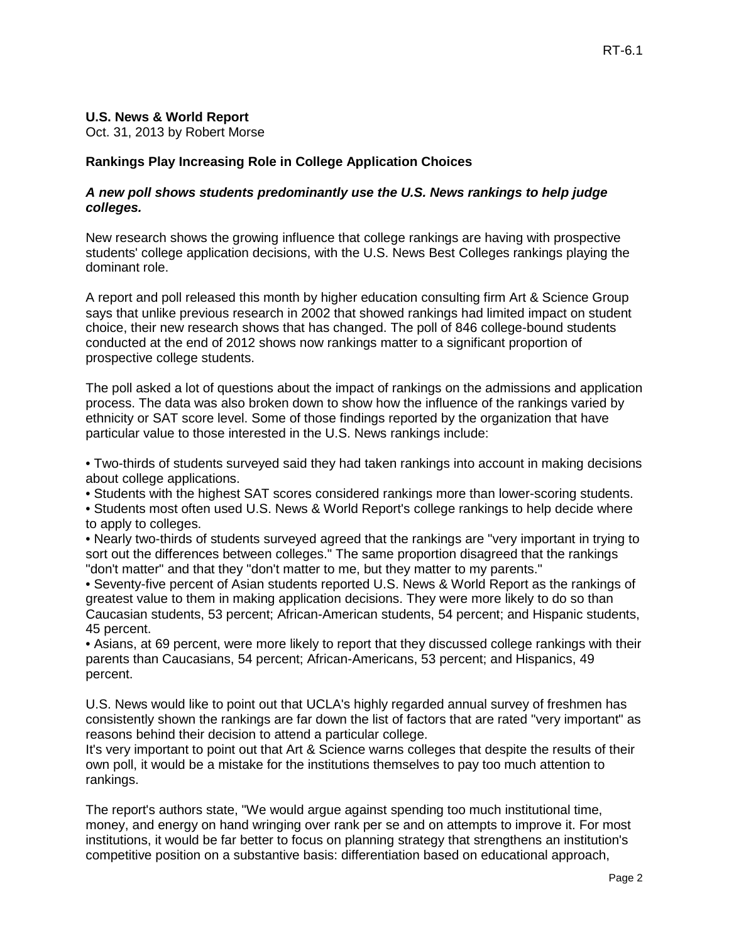## **U.S. News & World Report**

Oct. 31, 2013 by Robert Morse

# **Rankings Play Increasing Role in College Application Choices**

#### *A new poll shows students predominantly use the U.S. News rankings to help judge colleges.*

New research shows the growing influence that college rankings are having with prospective students' college application decisions, with the U.S. News [Best Colleges](http://colleges.usnews.rankingsandreviews.com/best-colleges) rankings playing the dominant role.

[A report and poll](http://www.artsci.com/studentPOLL/october/index.aspx%23findings) released this month by higher education consulting firm [Art & Science Group](http://www.artsci.com/index.aspx) says that unlike previous research in 2002 that showed rankings had limited impact on student choice, their new research shows that has changed. The poll of 846 college-bound students conducted at the end of 2012 shows now rankings matter to a significant proportion of prospective college students.

The poll asked a lot of questions about the impact of rankings on the admissions and application process. The data was also broken down to show how the influence of the rankings varied by ethnicity or SAT score level. Some of those findings reported by the organization that have particular value to those interested in the U.S. News rankings include:

• Two-thirds of students surveyed said they had taken rankings into account in making decisions about college applications.

• Students with the highest SAT scores considered rankings more than lower-scoring students.

• Students most often used U.S. News & World Report's college rankings to help decide where to apply to colleges.

• Nearly two-thirds of students surveyed agreed that the rankings are "very important in trying to sort out the differences between colleges." The same proportion disagreed that the rankings "don't matter" and that they "don't matter to me, but they matter to my parents."

• Seventy-five percent of Asian students reported U.S. News & World Report as the rankings of greatest value to them in making application decisions. They were more likely to do so than Caucasian students, 53 percent; African-American students, 54 percent; and Hispanic students, 45 percent.

• Asians, at 69 percent, were more likely to report that they discussed college rankings with their parents than Caucasians, 54 percent; African-Americans, 53 percent; and Hispanics, 49 percent.

U.S. News would like to point out that [UCLA's highly regarded annual survey](http://www.usnews.com/education/blogs/college-rankings-blog/2013/01/31/freshmen-students-say-rankings-arent-key-factor-in-college-choice) of freshmen has consistently shown the rankings are far down the list of factors that are rated "very important" as reasons behind their decision to attend a particular college.

It's very important to point out that Art & Science warns colleges that despite the results of their own poll, it would be a mistake for the institutions themselves to pay too much attention to rankings.

The report's authors state, "We would argue against spending too much institutional time, money, and energy on hand wringing over rank per se and on attempts to improve it. For most institutions, it would be far better to focus on planning strategy that strengthens an institution's competitive position on a substantive basis: differentiation based on educational approach,